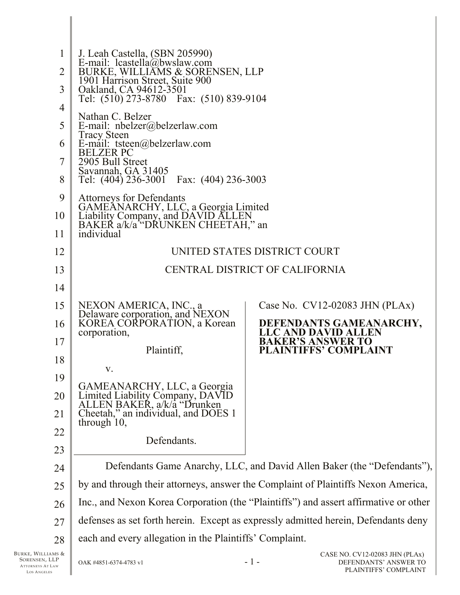| $\mathbf{1}$<br>2 | J. Leah Castella, (SBN 205990)<br>E-mail: $leastella(\overline{a})$ bwslaw.com<br>BURKE, WILLIAMS & SORENSEN, LLP                     |                                                                         |  |  |
|-------------------|---------------------------------------------------------------------------------------------------------------------------------------|-------------------------------------------------------------------------|--|--|
| 3                 | 1901 Harrison Street, Suite 900<br>Oakland, CA 94612-3501<br>Tel: (510) 273-8780  Fax: (510) 839-9104                                 |                                                                         |  |  |
| $\overline{4}$    |                                                                                                                                       |                                                                         |  |  |
| 5                 | Nathan C. Belzer<br>E-mail: nbelzer@belzerlaw.com                                                                                     |                                                                         |  |  |
| 6                 | <b>Tracy Steen</b><br>E-mail: tsteen@belzerlaw.com                                                                                    |                                                                         |  |  |
| 7                 | <b>BELZER PC</b><br>2905 Bull Street                                                                                                  |                                                                         |  |  |
| 8                 | Savannah, GA 31405<br>Tel: (404) 236-3001 Fax: (404) 236-3003                                                                         |                                                                         |  |  |
| 9                 | <b>Attorneys for Defendants</b>                                                                                                       |                                                                         |  |  |
| 10                | GAMEĂNARCHY, LLC, a Georgia Limited<br>Liability Company, and DAVID ALLEN                                                             |                                                                         |  |  |
| 11                | BAKER a/k/a <sup>*</sup> "DRUNKEN CHEETAH," an<br>individual                                                                          |                                                                         |  |  |
| 12                | UNITED STATES DISTRICT COURT                                                                                                          |                                                                         |  |  |
| 13                | CENTRAL DISTRICT OF CALIFORNIA                                                                                                        |                                                                         |  |  |
| 14                |                                                                                                                                       |                                                                         |  |  |
| 15                | NEXON AMERICA, INC., a                                                                                                                | Case No. $CV12-02083$ JHN (PLAx)                                        |  |  |
| 16                | Delaware corporation, and NEXON<br>KOREA CORPORATION, a Korean<br>corporation,                                                        | DEFENDANTS GAMEANARCHY,<br><b>LLC AND DAVID ALLEN</b>                   |  |  |
| 17                |                                                                                                                                       | <b>BAKER'S ANSWER TO</b><br><b>PLAINTIFFS' COMPLAINT</b>                |  |  |
| 18                | Plaintiff,                                                                                                                            |                                                                         |  |  |
| 19                | V.                                                                                                                                    |                                                                         |  |  |
| 20                |                                                                                                                                       |                                                                         |  |  |
| 21                | GAMEANARCHY, LLC, a Georgia<br>Limited Liability Company, DAVID<br>ALLEN BAKER, a/k/a "Drunken<br>Cheetah," an individual, and DOES 1 |                                                                         |  |  |
| 22                | through $10$ ,                                                                                                                        |                                                                         |  |  |
| 23                | Defendants.                                                                                                                           |                                                                         |  |  |
| 24                |                                                                                                                                       | Defendants Game Anarchy, LLC, and David Allen Baker (the "Defendants"), |  |  |
| 25                | by and through their attorneys, answer the Complaint of Plaintiffs Nexon America,                                                     |                                                                         |  |  |
| 26                | Inc., and Nexon Korea Corporation (the "Plaintiffs") and assert affirmative or other                                                  |                                                                         |  |  |
| 27                | defenses as set forth herein. Except as expressly admitted herein, Defendants deny                                                    |                                                                         |  |  |
| 28                | each and every allegation in the Plaintiffs' Complaint.                                                                               |                                                                         |  |  |
|                   |                                                                                                                                       | $CVI2$ 02002 HB                                                         |  |  |

BURKE, WILLIAMS & SORENSEN, LLP ATTORNEYS AT LAW LOS A NGELES

II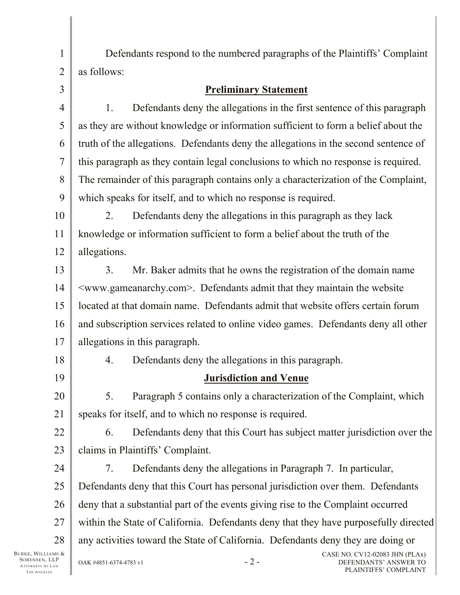Defendants respond to the numbered paragraphs of the Plaintiffs' Complaint as follows:

## **Preliminary Statement**

4 1. Defendants deny the allegations in the first sentence of this paragraph as they are without knowledge or information sufficient to form a belief about the truth of the allegations. Defendants deny the allegations in the second sentence of this paragraph as they contain legal conclusions to which no response is required. The remainder of this paragraph contains only a characterization of the Complaint, which speaks for itself, and to which no response is required.

10 11 12 2. Defendants deny the allegations in this paragraph as they lack knowledge or information sufficient to form a belief about the truth of the allegations.

13 14 15 16 17 3. Mr. Baker admits that he owns the registration of the domain name <www.gameanarchy.com>. Defendants admit that they maintain the website located at that domain name. Defendants admit that website offers certain forum and subscription services related to online video games. Defendants deny all other allegations in this paragraph.

18

19

1

2

3

5

6

7

8

9

4. Defendants deny the allegations in this paragraph.

## **Jurisdiction and Venue**

20 21 5. Paragraph 5 contains only a characterization of the Complaint, which speaks for itself, and to which no response is required.

22 23 6. Defendants deny that this Court has subject matter jurisdiction over the claims in Plaintiffs' Complaint.

24 25 26 27 28 7. Defendants deny the allegations in Paragraph 7. In particular, Defendants deny that this Court has personal jurisdiction over them. Defendants deny that a substantial part of the events giving rise to the Complaint occurred within the State of California. Defendants deny that they have purposefully directed any activities toward the State of California. Defendants deny they are doing or

BURKE, WILLIAMS & SORENSEN, LLP ATTORNEYS AT LAW LOS A NGELES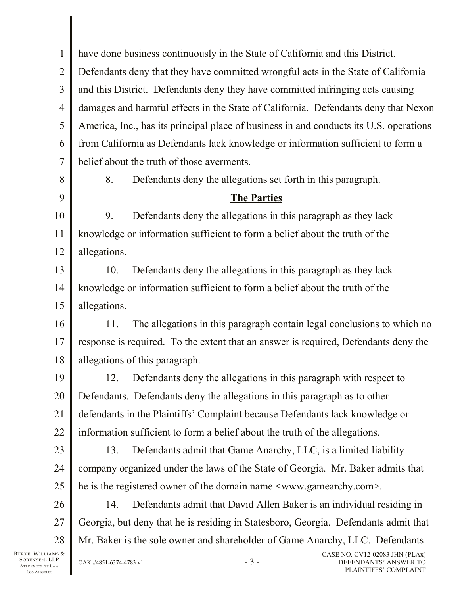BURKE, WILLIAMS & 1 2 3 4 5 6 7 8 9 10 11 12 13 14 15 16 17 18 19 20 21 22 23 24 25 26 27 28 OAK #4851-6374-4783 v1  $-3$  -CASE NO. CV12-02083 JHN (PLAx) have done business continuously in the State of California and this District. Defendants deny that they have committed wrongful acts in the State of California and this District. Defendants deny they have committed infringing acts causing damages and harmful effects in the State of California. Defendants deny that Nexon America, Inc., has its principal place of business in and conducts its U.S. operations from California as Defendants lack knowledge or information sufficient to form a belief about the truth of those averments. 8. Defendants deny the allegations set forth in this paragraph. **The Parties** 9. Defendants deny the allegations in this paragraph as they lack knowledge or information sufficient to form a belief about the truth of the allegations. 10. Defendants deny the allegations in this paragraph as they lack knowledge or information sufficient to form a belief about the truth of the allegations. 11. The allegations in this paragraph contain legal conclusions to which no response is required. To the extent that an answer is required, Defendants deny the allegations of this paragraph. 12. Defendants deny the allegations in this paragraph with respect to Defendants. Defendants deny the allegations in this paragraph as to other defendants in the Plaintiffs' Complaint because Defendants lack knowledge or information sufficient to form a belief about the truth of the allegations. 13. Defendants admit that Game Anarchy, LLC, is a limited liability company organized under the laws of the State of Georgia. Mr. Baker admits that he is the registered owner of the domain name <www.gamearchy.com>. 14. Defendants admit that David Allen Baker is an individual residing in Georgia, but deny that he is residing in Statesboro, Georgia. Defendants admit that Mr. Baker is the sole owner and shareholder of Game Anarchy, LLC. Defendants

SORENSEN, LLP ATTORNEYS AT LAW LOS A NGELES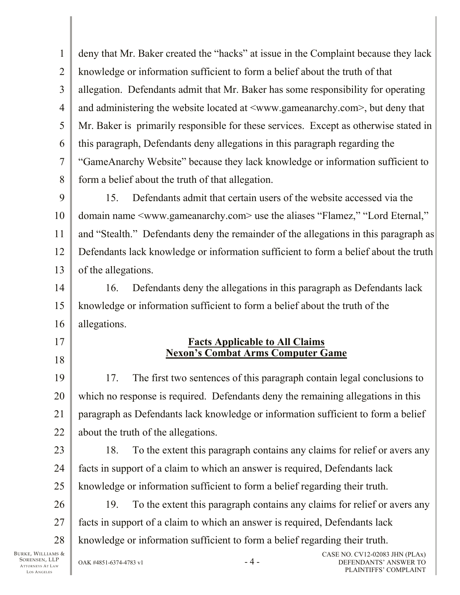1 2 3 4 5 6 7 8 9 deny that Mr. Baker created the "hacks" at issue in the Complaint because they lack knowledge or information sufficient to form a belief about the truth of that allegation. Defendants admit that Mr. Baker has some responsibility for operating and administering the website located at <www.gameanarchy.com>, but deny that Mr. Baker is primarily responsible for these services. Except as otherwise stated in this paragraph, Defendants deny allegations in this paragraph regarding the "GameAnarchy Website" because they lack knowledge or information sufficient to form a belief about the truth of that allegation. 15. Defendants admit that certain users of the website accessed via the

10 11 12 13 domain name <www.gameanarchy.com> use the aliases "Flamez," "Lord Eternal," and "Stealth." Defendants deny the remainder of the allegations in this paragraph as Defendants lack knowledge or information sufficient to form a belief about the truth of the allegations.

14 15 16 16. Defendants deny the allegations in this paragraph as Defendants lack knowledge or information sufficient to form a belief about the truth of the allegations.

## **Facts Applicable to All Claims Nexon's Combat Arms Computer Game**

19 20 21 22 17. The first two sentences of this paragraph contain legal conclusions to which no response is required. Defendants deny the remaining allegations in this paragraph as Defendants lack knowledge or information sufficient to form a belief about the truth of the allegations.

23 24 25 18. To the extent this paragraph contains any claims for relief or avers any facts in support of a claim to which an answer is required, Defendants lack knowledge or information sufficient to form a belief regarding their truth.

26 27 28 19. To the extent this paragraph contains any claims for relief or avers any facts in support of a claim to which an answer is required, Defendants lack knowledge or information sufficient to form a belief regarding their truth.

BURKE, WILLIAMS & SORENSEN, LLP ATTORNEYS AT LAW LOS A NGELES

17

18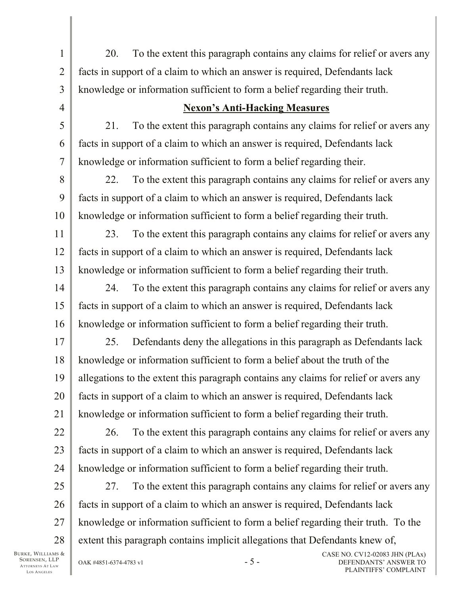1 2 3 20. To the extent this paragraph contains any claims for relief or avers any facts in support of a claim to which an answer is required, Defendants lack knowledge or information sufficient to form a belief regarding their truth.

## **Nexon's Anti-Hacking Measures**

21. To the extent this paragraph contains any claims for relief or avers any facts in support of a claim to which an answer is required, Defendants lack knowledge or information sufficient to form a belief regarding their.

8 9 10 22. To the extent this paragraph contains any claims for relief or avers any facts in support of a claim to which an answer is required, Defendants lack knowledge or information sufficient to form a belief regarding their truth.

11 12 13 23. To the extent this paragraph contains any claims for relief or avers any facts in support of a claim to which an answer is required, Defendants lack knowledge or information sufficient to form a belief regarding their truth.

14 15 16 24. To the extent this paragraph contains any claims for relief or avers any facts in support of a claim to which an answer is required, Defendants lack knowledge or information sufficient to form a belief regarding their truth.

17 18 19 20 21 25. Defendants deny the allegations in this paragraph as Defendants lack knowledge or information sufficient to form a belief about the truth of the allegations to the extent this paragraph contains any claims for relief or avers any facts in support of a claim to which an answer is required, Defendants lack knowledge or information sufficient to form a belief regarding their truth.

22 23 24 26. To the extent this paragraph contains any claims for relief or avers any facts in support of a claim to which an answer is required, Defendants lack knowledge or information sufficient to form a belief regarding their truth.

25 26 27 28 27. To the extent this paragraph contains any claims for relief or avers any facts in support of a claim to which an answer is required, Defendants lack knowledge or information sufficient to form a belief regarding their truth. To the extent this paragraph contains implicit allegations that Defendants knew of,

BURKE, WILLIAMS & SORENSEN, LLP ATTORNEYS AT LAW LOS A NGELES

4

5

6

7

 $0$ AK #4851-6374-4783 v1  $-$  5 -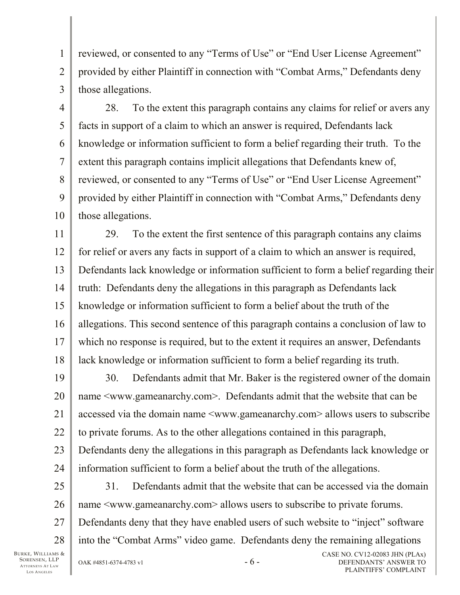reviewed, or consented to any "Terms of Use" or "End User License Agreement" provided by either Plaintiff in connection with "Combat Arms," Defendants deny those allegations.

3 4

7

8

1

2

5 6 9 10 28. To the extent this paragraph contains any claims for relief or avers any facts in support of a claim to which an answer is required, Defendants lack knowledge or information sufficient to form a belief regarding their truth. To the extent this paragraph contains implicit allegations that Defendants knew of, reviewed, or consented to any "Terms of Use" or "End User License Agreement" provided by either Plaintiff in connection with "Combat Arms," Defendants deny those allegations.

11 12 13 14 15 16 17 18 29. To the extent the first sentence of this paragraph contains any claims for relief or avers any facts in support of a claim to which an answer is required, Defendants lack knowledge or information sufficient to form a belief regarding their truth: Defendants deny the allegations in this paragraph as Defendants lack knowledge or information sufficient to form a belief about the truth of the allegations. This second sentence of this paragraph contains a conclusion of law to which no response is required, but to the extent it requires an answer, Defendants lack knowledge or information sufficient to form a belief regarding its truth.

19 20 21 22 23 24 30. Defendants admit that Mr. Baker is the registered owner of the domain name <www.gameanarchy.com>. Defendants admit that the website that can be accessed via the domain name <www.gameanarchy.com> allows users to subscribe to private forums. As to the other allegations contained in this paragraph, Defendants deny the allegations in this paragraph as Defendants lack knowledge or information sufficient to form a belief about the truth of the allegations.

25 26 27 28 31. Defendants admit that the website that can be accessed via the domain name  $\leq$ www.gameanarchy.com> allows users to subscribe to private forums. Defendants deny that they have enabled users of such website to "inject" software into the "Combat Arms" video game. Defendants deny the remaining allegations

BURKE, WILLIAMS & SORENSEN, LLP ATTORNEYS AT LAW LOS A NGELES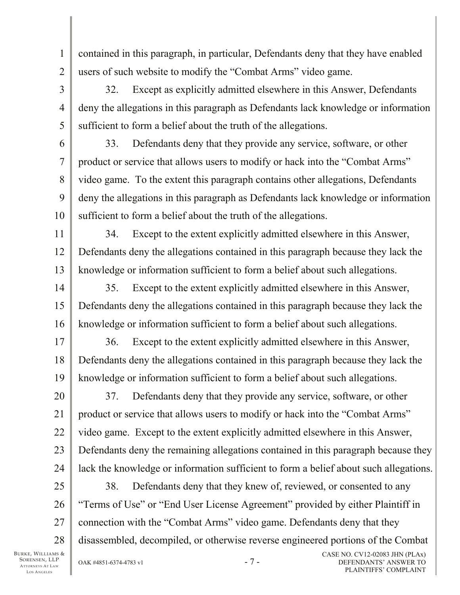contained in this paragraph, in particular, Defendants deny that they have enabled users of such website to modify the "Combat Arms" video game.

32. Except as explicitly admitted elsewhere in this Answer, Defendants deny the allegations in this paragraph as Defendants lack knowledge or information sufficient to form a belief about the truth of the allegations.

6 7 8 9 10 33. Defendants deny that they provide any service, software, or other product or service that allows users to modify or hack into the "Combat Arms" video game. To the extent this paragraph contains other allegations, Defendants deny the allegations in this paragraph as Defendants lack knowledge or information sufficient to form a belief about the truth of the allegations.

11 12 13 34. Except to the extent explicitly admitted elsewhere in this Answer, Defendants deny the allegations contained in this paragraph because they lack the knowledge or information sufficient to form a belief about such allegations.

14 15 16 35. Except to the extent explicitly admitted elsewhere in this Answer, Defendants deny the allegations contained in this paragraph because they lack the knowledge or information sufficient to form a belief about such allegations.

17 18 19 36. Except to the extent explicitly admitted elsewhere in this Answer, Defendants deny the allegations contained in this paragraph because they lack the knowledge or information sufficient to form a belief about such allegations.

20 21 22 23 24 37. Defendants deny that they provide any service, software, or other product or service that allows users to modify or hack into the "Combat Arms" video game. Except to the extent explicitly admitted elsewhere in this Answer, Defendants deny the remaining allegations contained in this paragraph because they lack the knowledge or information sufficient to form a belief about such allegations.

25 26 27 28 38. Defendants deny that they knew of, reviewed, or consented to any "Terms of Use" or "End User License Agreement" provided by either Plaintiff in connection with the "Combat Arms" video game. Defendants deny that they disassembled, decompiled, or otherwise reverse engineered portions of the Combat

BURKE, WILLIAMS & SORENSEN, LLP ATTORNEYS AT LAW LOS A NGELES

1

2

3

4

5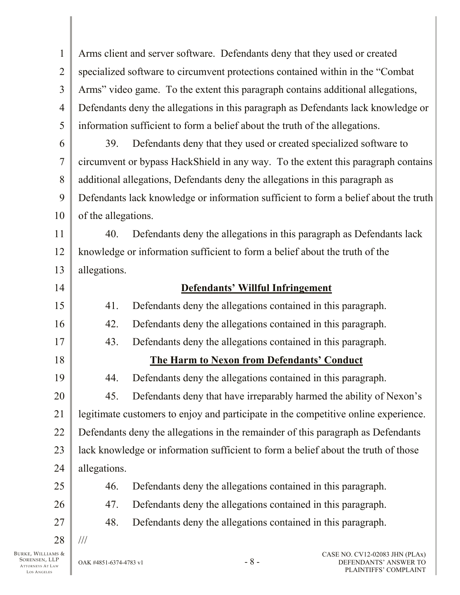1 2 3 4 5 6 7 8 9 10 11 12 13 14 15 16 17 18 19 20 21 22 23 24 25 26 27 28 Arms client and server software. Defendants deny that they used or created specialized software to circumvent protections contained within in the "Combat Arms" video game. To the extent this paragraph contains additional allegations, Defendants deny the allegations in this paragraph as Defendants lack knowledge or information sufficient to form a belief about the truth of the allegations. 39. Defendants deny that they used or created specialized software to circumvent or bypass HackShield in any way. To the extent this paragraph contains additional allegations, Defendants deny the allegations in this paragraph as Defendants lack knowledge or information sufficient to form a belief about the truth of the allegations. 40. Defendants deny the allegations in this paragraph as Defendants lack knowledge or information sufficient to form a belief about the truth of the allegations. **Defendants' Willful Infringement** 41. Defendants deny the allegations contained in this paragraph. 42. Defendants deny the allegations contained in this paragraph. 43. Defendants deny the allegations contained in this paragraph. **The Harm to Nexon from Defendants' Conduct** 44. Defendants deny the allegations contained in this paragraph. 45. Defendants deny that have irreparably harmed the ability of Nexon's legitimate customers to enjoy and participate in the competitive online experience. Defendants deny the allegations in the remainder of this paragraph as Defendants lack knowledge or information sufficient to form a belief about the truth of those allegations. 46. Defendants deny the allegations contained in this paragraph. 47. Defendants deny the allegations contained in this paragraph. 48. Defendants deny the allegations contained in this paragraph. ///

BURKE, WILLIAMS & SORENSEN, LLP ATTORNEYS AT LAW LOS A NGELES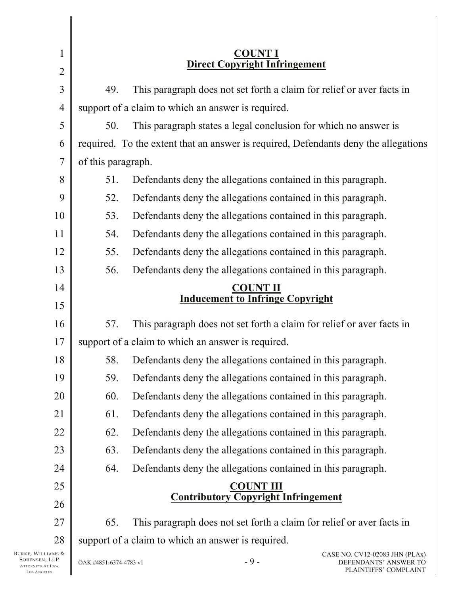| $\mathbf{1}$                       | TOUNT I<br><b>Direct Copyright Infringement</b>                              |                                                              |                                                                 |                                                                                     |  |
|------------------------------------|------------------------------------------------------------------------------|--------------------------------------------------------------|-----------------------------------------------------------------|-------------------------------------------------------------------------------------|--|
| $\overline{c}$                     |                                                                              |                                                              |                                                                 |                                                                                     |  |
| 3                                  | 49.                                                                          |                                                              |                                                                 | This paragraph does not set forth a claim for relief or aver facts in               |  |
| $\overline{4}$                     |                                                                              | support of a claim to which an answer is required.           |                                                                 |                                                                                     |  |
| 5                                  | 50.                                                                          |                                                              | This paragraph states a legal conclusion for which no answer is |                                                                                     |  |
| 6                                  |                                                                              |                                                              |                                                                 | required. To the extent that an answer is required, Defendants deny the allegations |  |
| $\overline{7}$                     | of this paragraph.                                                           |                                                              |                                                                 |                                                                                     |  |
| 8                                  | 51.                                                                          | Defendants deny the allegations contained in this paragraph. |                                                                 |                                                                                     |  |
| 9                                  | 52.                                                                          | Defendants deny the allegations contained in this paragraph. |                                                                 |                                                                                     |  |
| 10                                 | 53.                                                                          | Defendants deny the allegations contained in this paragraph. |                                                                 |                                                                                     |  |
| 11                                 | 54.                                                                          |                                                              | Defendants deny the allegations contained in this paragraph.    |                                                                                     |  |
| 12                                 | 55.                                                                          |                                                              | Defendants deny the allegations contained in this paragraph.    |                                                                                     |  |
| 13                                 | 56.                                                                          | Defendants deny the allegations contained in this paragraph. |                                                                 |                                                                                     |  |
| 14                                 | <b>COUNT II</b>                                                              |                                                              |                                                                 |                                                                                     |  |
| 15                                 | <b>Inducement to Infringe Copyright</b>                                      |                                                              |                                                                 |                                                                                     |  |
| 16                                 | This paragraph does not set forth a claim for relief or aver facts in<br>57. |                                                              |                                                                 |                                                                                     |  |
| 17                                 | support of a claim to which an answer is required.                           |                                                              |                                                                 |                                                                                     |  |
| 18                                 | Defendants deny the allegations contained in this paragraph.<br>58.          |                                                              |                                                                 |                                                                                     |  |
| 19                                 | 59.                                                                          |                                                              | Defendants deny the allegations contained in this paragraph.    |                                                                                     |  |
| 20                                 | 60.                                                                          |                                                              | Defendants deny the allegations contained in this paragraph.    |                                                                                     |  |
| 21                                 | 61.                                                                          |                                                              | Defendants deny the allegations contained in this paragraph.    |                                                                                     |  |
| 22                                 | 62.                                                                          |                                                              | Defendants deny the allegations contained in this paragraph.    |                                                                                     |  |
| 23                                 | 63.<br>Defendants deny the allegations contained in this paragraph.          |                                                              |                                                                 |                                                                                     |  |
| 24                                 | 64.<br>Defendants deny the allegations contained in this paragraph.          |                                                              |                                                                 |                                                                                     |  |
| 25                                 | <b>COUNT III</b>                                                             |                                                              |                                                                 |                                                                                     |  |
| 26                                 | <b>Contributory Copyright Infringement</b>                                   |                                                              |                                                                 |                                                                                     |  |
| 27                                 | 65.                                                                          |                                                              |                                                                 | This paragraph does not set forth a claim for relief or aver facts in               |  |
| 28                                 | support of a claim to which an answer is required.                           |                                                              |                                                                 |                                                                                     |  |
| Burke, Williams &<br>SORENSEN, LLP | $-9-$<br>OAK #4851-6374-4783 v1                                              |                                                              |                                                                 | CASE NO. CV12-02083 JHN (PLAx)<br>DEFENDANTS' ANSWER TO                             |  |

 $\parallel$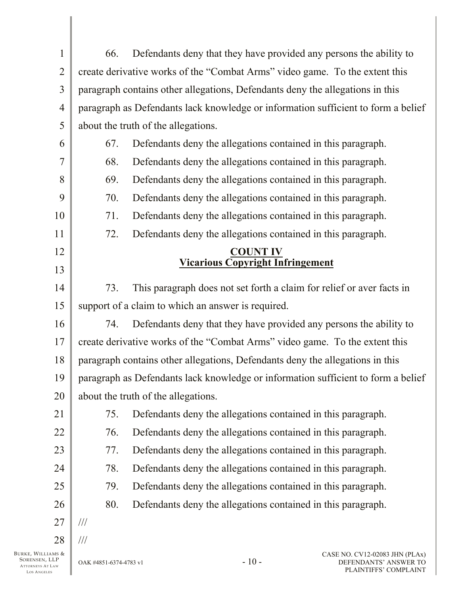| $\mathbf{1}$         | 66.                                                                               | Defendants deny that they have provided any persons the ability to    |  |  |
|----------------------|-----------------------------------------------------------------------------------|-----------------------------------------------------------------------|--|--|
| $\overline{2}$       | create derivative works of the "Combat Arms" video game. To the extent this       |                                                                       |  |  |
| 3                    | paragraph contains other allegations, Defendants deny the allegations in this     |                                                                       |  |  |
| $\overline{4}$       | paragraph as Defendants lack knowledge or information sufficient to form a belief |                                                                       |  |  |
| 5                    | about the truth of the allegations.                                               |                                                                       |  |  |
| 6                    | 67.                                                                               | Defendants deny the allegations contained in this paragraph.          |  |  |
| $\overline{7}$       | 68.                                                                               | Defendants deny the allegations contained in this paragraph.          |  |  |
| 8                    | 69.                                                                               | Defendants deny the allegations contained in this paragraph.          |  |  |
| 9                    | 70.<br>Defendants deny the allegations contained in this paragraph.               |                                                                       |  |  |
| 10                   | Defendants deny the allegations contained in this paragraph.<br>71.               |                                                                       |  |  |
| 11                   | 72.                                                                               | Defendants deny the allegations contained in this paragraph.          |  |  |
| 12                   | <b>COUNT IV</b>                                                                   |                                                                       |  |  |
| 13                   |                                                                                   | <b>Vicarious Copyright Infringement</b>                               |  |  |
| 14                   | 73.                                                                               | This paragraph does not set forth a claim for relief or aver facts in |  |  |
| 15                   | support of a claim to which an answer is required.                                |                                                                       |  |  |
| 16                   | 74.                                                                               | Defendants deny that they have provided any persons the ability to    |  |  |
| 17                   | create derivative works of the "Combat Arms" video game. To the extent this       |                                                                       |  |  |
| 18                   | paragraph contains other allegations, Defendants deny the allegations in this     |                                                                       |  |  |
| 19                   | paragraph as Defendants lack knowledge or information sufficient to form a belief |                                                                       |  |  |
| 20                   | about the truth of the allegations.                                               |                                                                       |  |  |
| 21                   | 75.                                                                               | Defendants deny the allegations contained in this paragraph.          |  |  |
| 22                   | 76.                                                                               | Defendants deny the allegations contained in this paragraph.          |  |  |
| 23                   | 77.                                                                               | Defendants deny the allegations contained in this paragraph.          |  |  |
| 24                   | 78.                                                                               | Defendants deny the allegations contained in this paragraph.          |  |  |
| 25                   | 79.                                                                               | Defendants deny the allegations contained in this paragraph.          |  |  |
| 26                   | 80.                                                                               | Defendants deny the allegations contained in this paragraph.          |  |  |
| 27                   | $\frac{1}{1}$                                                                     |                                                                       |  |  |
| 28                   | $\frac{1}{1}$                                                                     |                                                                       |  |  |
| AMS &<br>${\rm LLP}$ | OAK #4851-6374-4783 v1                                                            | CASE NO. CV12-02083 JHN (PLAx)<br>$-10-$<br>DEFENDANTS' ANSWER TO     |  |  |

BURKE, WILLIAMS & SORENSEN, LLP ATTORNEYS AT LAW LOS A NGELES

 $\parallel$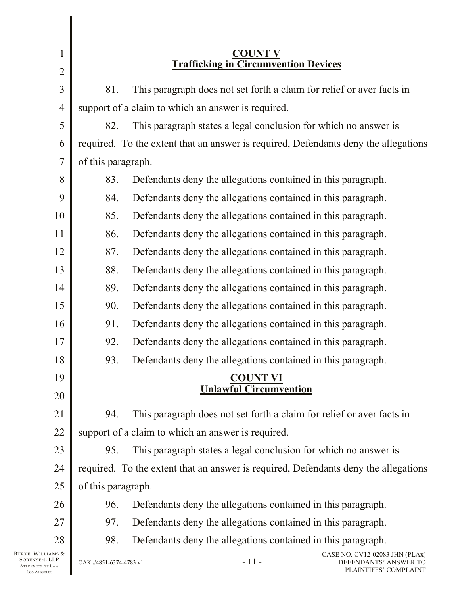| $\mathbf{1}$<br>$\overline{2}$                                                                                                                        | <b>COUNT V</b><br><b>Trafficking in Circumvention Devices</b>                       |  |  |  |
|-------------------------------------------------------------------------------------------------------------------------------------------------------|-------------------------------------------------------------------------------------|--|--|--|
| $\overline{3}$                                                                                                                                        | This paragraph does not set forth a claim for relief or aver facts in<br>81.        |  |  |  |
| $\overline{4}$                                                                                                                                        | support of a claim to which an answer is required.                                  |  |  |  |
|                                                                                                                                                       | 82.                                                                                 |  |  |  |
| 5                                                                                                                                                     | This paragraph states a legal conclusion for which no answer is                     |  |  |  |
| 6                                                                                                                                                     | required. To the extent that an answer is required, Defendants deny the allegations |  |  |  |
| $\overline{7}$                                                                                                                                        | of this paragraph.                                                                  |  |  |  |
| 8                                                                                                                                                     | 83.<br>Defendants deny the allegations contained in this paragraph.                 |  |  |  |
| 9                                                                                                                                                     | 84.<br>Defendants deny the allegations contained in this paragraph.                 |  |  |  |
| 10                                                                                                                                                    | 85.<br>Defendants deny the allegations contained in this paragraph.                 |  |  |  |
| 11                                                                                                                                                    | 86.<br>Defendants deny the allegations contained in this paragraph.                 |  |  |  |
| 12                                                                                                                                                    | 87.<br>Defendants deny the allegations contained in this paragraph.                 |  |  |  |
| 13                                                                                                                                                    | 88.<br>Defendants deny the allegations contained in this paragraph.                 |  |  |  |
| 14                                                                                                                                                    | 89.<br>Defendants deny the allegations contained in this paragraph.                 |  |  |  |
| 15                                                                                                                                                    | Defendants deny the allegations contained in this paragraph.<br>90.                 |  |  |  |
| 16                                                                                                                                                    | 91.<br>Defendants deny the allegations contained in this paragraph.                 |  |  |  |
| 17                                                                                                                                                    | 92.<br>Defendants deny the allegations contained in this paragraph.                 |  |  |  |
| 18                                                                                                                                                    | 93.<br>Defendants deny the allegations contained in this paragraph.                 |  |  |  |
| 19                                                                                                                                                    | <b>COUNT VI</b>                                                                     |  |  |  |
| 20                                                                                                                                                    | <b>Unlawful Circumvention</b>                                                       |  |  |  |
| 21                                                                                                                                                    | This paragraph does not set forth a claim for relief or aver facts in<br>94.        |  |  |  |
| 22                                                                                                                                                    | support of a claim to which an answer is required.                                  |  |  |  |
| 23                                                                                                                                                    | This paragraph states a legal conclusion for which no answer is<br>95.              |  |  |  |
| 24                                                                                                                                                    | required. To the extent that an answer is required, Defendants deny the allegations |  |  |  |
| 25                                                                                                                                                    | of this paragraph.                                                                  |  |  |  |
| 26                                                                                                                                                    | Defendants deny the allegations contained in this paragraph.<br>96.                 |  |  |  |
| 27                                                                                                                                                    | 97.<br>Defendants deny the allegations contained in this paragraph.                 |  |  |  |
| 28                                                                                                                                                    | 98.<br>Defendants deny the allegations contained in this paragraph.                 |  |  |  |
| CASE NO. CV12-02083 JHN (PLAx)<br>Burke, Williams &<br>SORENSEN, LLP<br>$-11-$<br>DEFENDANTS' ANSWER TO<br>OAK #4851-6374-4783 v1<br>ATTORNEYS AT LAW |                                                                                     |  |  |  |

ATTORNEYS  $\parallel$ LOS A NGELES

 $\mathbf{l}$ Π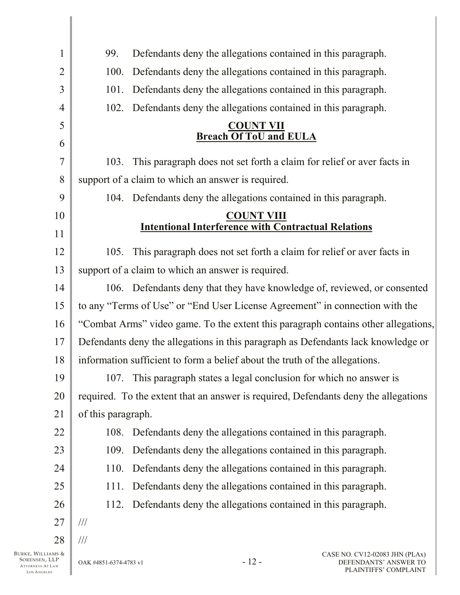| $\mathbf{1}$                       | Defendants deny the allegations contained in this paragraph.<br>99.                         |  |  |  |
|------------------------------------|---------------------------------------------------------------------------------------------|--|--|--|
| $\overline{2}$                     | Defendants deny the allegations contained in this paragraph.<br>100.                        |  |  |  |
| 3                                  | Defendants deny the allegations contained in this paragraph.<br>101.                        |  |  |  |
| $\overline{4}$                     | Defendants deny the allegations contained in this paragraph.<br>102.                        |  |  |  |
| 5                                  | <b>COUNT VII</b>                                                                            |  |  |  |
| 6                                  | <b>Breach Of ToU and EULA</b>                                                               |  |  |  |
| 7                                  | This paragraph does not set forth a claim for relief or aver facts in<br>103.               |  |  |  |
| 8                                  | support of a claim to which an answer is required.                                          |  |  |  |
| 9                                  | 104. Defendants deny the allegations contained in this paragraph.                           |  |  |  |
| 10                                 | <b>COUNT VIII</b>                                                                           |  |  |  |
| 11                                 | <b>Intentional Interference with Contractual Relations</b>                                  |  |  |  |
| 12                                 | This paragraph does not set forth a claim for relief or aver facts in<br>105.               |  |  |  |
| 13                                 | support of a claim to which an answer is required.                                          |  |  |  |
| 14                                 | 106. Defendants deny that they have knowledge of, reviewed, or consented                    |  |  |  |
| 15                                 | to any "Terms of Use" or "End User License Agreement" in connection with the                |  |  |  |
| 16                                 | "Combat Arms" video game. To the extent this paragraph contains other allegations,          |  |  |  |
| 17                                 | Defendants deny the allegations in this paragraph as Defendants lack knowledge or           |  |  |  |
| 18                                 | information sufficient to form a belief about the truth of the allegations.                 |  |  |  |
| 19                                 | This paragraph states a legal conclusion for which no answer is<br>107.                     |  |  |  |
| 20                                 | required. To the extent that an answer is required, Defendants deny the allegations         |  |  |  |
| 21                                 | of this paragraph.                                                                          |  |  |  |
| 22                                 | Defendants deny the allegations contained in this paragraph.<br>108.                        |  |  |  |
| 23                                 | Defendants deny the allegations contained in this paragraph.<br>109.                        |  |  |  |
| 24                                 | Defendants deny the allegations contained in this paragraph.<br>110.                        |  |  |  |
| 25                                 | Defendants deny the allegations contained in this paragraph.<br>111.                        |  |  |  |
| 26                                 | Defendants deny the allegations contained in this paragraph.<br>112.                        |  |  |  |
| 27                                 | $\frac{1}{2}$                                                                               |  |  |  |
| 28                                 | $/ \! / \! /$                                                                               |  |  |  |
| Burke, Williams &<br>SORENSEN, LLP | CASE NO. CV12-02083 JHN (PLAx)<br>$-12-$<br>DEFENDANTS' ANSWER TO<br>OAK #4851-6374-4783 v1 |  |  |  |

SORENSEN, LLP ATTORNEYS AT LAW LOS A NGELES

 $\parallel$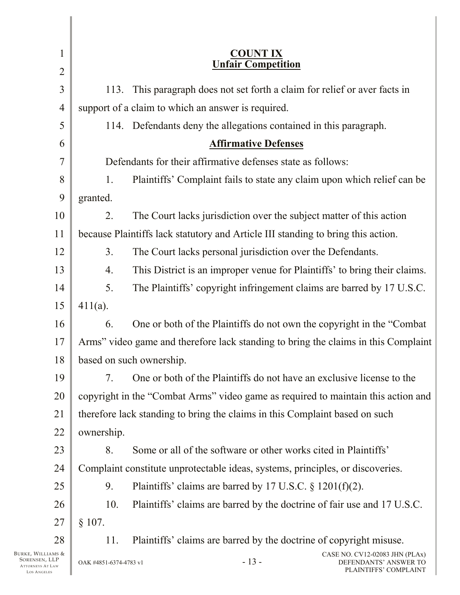| $\mathbf{1}$                                                                 | <b>COUNT IX</b>                                                                                                      |  |  |  |
|------------------------------------------------------------------------------|----------------------------------------------------------------------------------------------------------------------|--|--|--|
| $\overline{2}$                                                               | <b>Unfair Competition</b>                                                                                            |  |  |  |
| $\overline{3}$                                                               | This paragraph does not set forth a claim for relief or aver facts in<br>113.                                        |  |  |  |
| $\overline{4}$                                                               | support of a claim to which an answer is required.                                                                   |  |  |  |
| 5                                                                            | 114. Defendants deny the allegations contained in this paragraph.                                                    |  |  |  |
| 6                                                                            | <b>Affirmative Defenses</b>                                                                                          |  |  |  |
| $\overline{7}$                                                               | Defendants for their affirmative defenses state as follows:                                                          |  |  |  |
| 8                                                                            | Plaintiffs' Complaint fails to state any claim upon which relief can be<br>1.                                        |  |  |  |
| 9                                                                            | granted.                                                                                                             |  |  |  |
| 10                                                                           | 2.<br>The Court lacks jurisdiction over the subject matter of this action                                            |  |  |  |
| 11                                                                           | because Plaintiffs lack statutory and Article III standing to bring this action.                                     |  |  |  |
| 12                                                                           | 3 <sub>1</sub><br>The Court lacks personal jurisdiction over the Defendants.                                         |  |  |  |
| 13                                                                           | This District is an improper venue for Plaintiffs' to bring their claims.<br>4.                                      |  |  |  |
| 14                                                                           | The Plaintiffs' copyright infringement claims are barred by 17 U.S.C.<br>5.                                          |  |  |  |
| 15                                                                           | $411(a)$ .                                                                                                           |  |  |  |
| 16                                                                           | One or both of the Plaintiffs do not own the copyright in the "Combat"<br>6.                                         |  |  |  |
| 17                                                                           | Arms" video game and therefore lack standing to bring the claims in this Complaint                                   |  |  |  |
| 18                                                                           | based on such ownership.                                                                                             |  |  |  |
| 19                                                                           | One or both of the Plaintiffs do not have an exclusive license to the<br>7.                                          |  |  |  |
| 20                                                                           | copyright in the "Combat Arms" video game as required to maintain this action and                                    |  |  |  |
| 21                                                                           | therefore lack standing to bring the claims in this Complaint based on such                                          |  |  |  |
| 22                                                                           | ownership.                                                                                                           |  |  |  |
| 23                                                                           | Some or all of the software or other works cited in Plaintiffs'<br>8.                                                |  |  |  |
| 24                                                                           | Complaint constitute unprotectable ideas, systems, principles, or discoveries.                                       |  |  |  |
| 25                                                                           | 9.<br>Plaintiffs' claims are barred by 17 U.S.C. $\S$ 1201(f)(2).                                                    |  |  |  |
| 26                                                                           | 10.<br>Plaintiffs' claims are barred by the doctrine of fair use and 17 U.S.C.                                       |  |  |  |
| 27                                                                           | § 107.                                                                                                               |  |  |  |
| 28                                                                           | Plaintiffs' claims are barred by the doctrine of copyright misuse.<br>11.                                            |  |  |  |
| Burke, Williams &<br>SORENSEN, LLP<br><b>ATTORNEYS AT LAW</b><br>LOS ANGELES | CASE NO. CV12-02083 JHN (PLAx)<br>$-13-$<br>DEFENDANTS' ANSWER TO<br>OAK #4851-6374-4783 v1<br>PLAINTIFFS' COMPLAINT |  |  |  |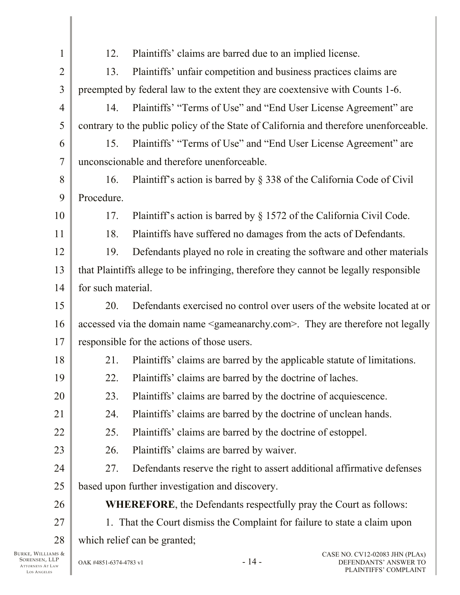| 1              | 12.                                                                                   | Plaintiffs' claims are barred due to an implied license.                                         |  |
|----------------|---------------------------------------------------------------------------------------|--------------------------------------------------------------------------------------------------|--|
| $\overline{2}$ | 13.                                                                                   | Plaintiffs' unfair competition and business practices claims are                                 |  |
| 3              |                                                                                       | preempted by federal law to the extent they are coextensive with Counts 1-6.                     |  |
| $\overline{4}$ | 14.                                                                                   | Plaintiffs' "Terms of Use" and "End User License Agreement" are                                  |  |
| 5              |                                                                                       | contrary to the public policy of the State of California and therefore unenforceable.            |  |
| 6              | 15.                                                                                   | Plaintiffs' "Terms of Use" and "End User License Agreement" are                                  |  |
| 7              | unconscionable and therefore unenforceable.                                           |                                                                                                  |  |
| 8              | 16.                                                                                   | Plaintiff's action is barred by § 338 of the California Code of Civil                            |  |
| 9              | Procedure.                                                                            |                                                                                                  |  |
| 10             | 17.                                                                                   | Plaintiff's action is barred by § 1572 of the California Civil Code.                             |  |
| 11             | 18.                                                                                   | Plaintiffs have suffered no damages from the acts of Defendants.                                 |  |
| 12             | 19.                                                                                   | Defendants played no role in creating the software and other materials                           |  |
| 13             | that Plaintiffs allege to be infringing, therefore they cannot be legally responsible |                                                                                                  |  |
| 14             | for such material.                                                                    |                                                                                                  |  |
| 15             | 20.                                                                                   | Defendants exercised no control over users of the website located at or                          |  |
| 16             |                                                                                       | accessed via the domain name <gameanarchy.com>. They are therefore not legally</gameanarchy.com> |  |
| 17             | responsible for the actions of those users.                                           |                                                                                                  |  |
| 18             | 21.                                                                                   | Plaintiffs' claims are barred by the applicable statute of limitations.                          |  |
| 19             | 22.                                                                                   | Plaintiffs' claims are barred by the doctrine of laches.                                         |  |
| 20             | 23.                                                                                   | Plaintiffs' claims are barred by the doctrine of acquiescence.                                   |  |
| 21             | 24.                                                                                   | Plaintiffs' claims are barred by the doctrine of unclean hands.                                  |  |
| 22             | 25.                                                                                   | Plaintiffs' claims are barred by the doctrine of estoppel.                                       |  |
| 23             | 26.                                                                                   | Plaintiffs' claims are barred by waiver.                                                         |  |
| 24             | 27.                                                                                   | Defendants reserve the right to assert additional affirmative defenses                           |  |
| 25             |                                                                                       | based upon further investigation and discovery.                                                  |  |
| 26             |                                                                                       | <b>WHEREFORE, the Defendants respectfully pray the Court as follows:</b>                         |  |
| 27             |                                                                                       | 1. That the Court dismiss the Complaint for failure to state a claim upon                        |  |
| 28             |                                                                                       | which relief can be granted;                                                                     |  |
|                |                                                                                       | $\cap$ A CE NIO $\sim$ CV12 02022 THN (DI Av)                                                    |  |

BURKE, WILLIAMS & SORENSEN, LLP ATTORNEYS AT LAW LOS A NGELES

Ι

Π